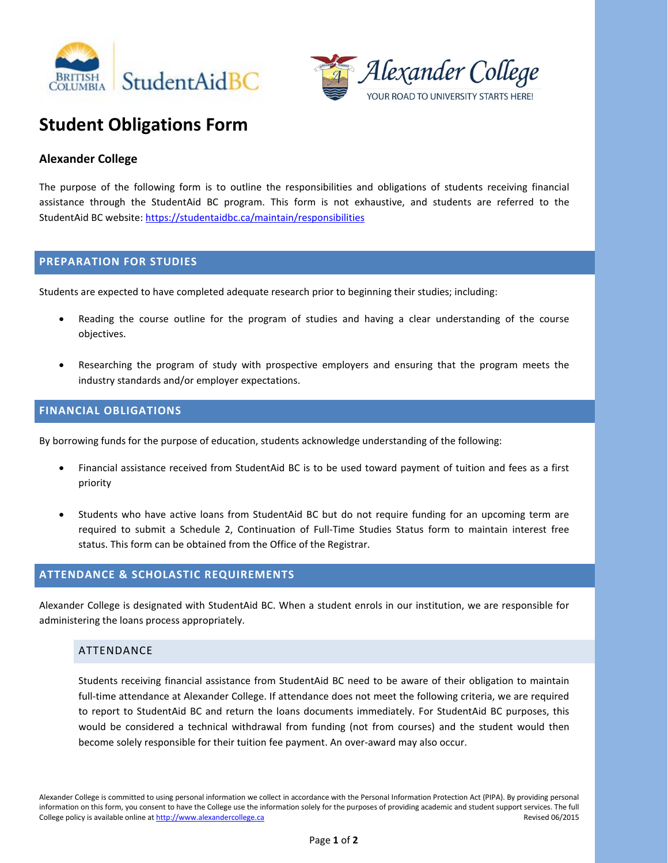



# **Student Obligations Form**

## **Alexander College**

The purpose of the following form is to outline the responsibilities and obligations of students receiving financial assistance through the StudentAid BC program. This form is not exhaustive, and students are referred to the StudentAid BC website[: https://studentaidbc.ca/maintain/responsibilities](https://studentaidbc.ca/maintain/responsibilities) 

### **PREPARATION FOR STUDIES**

Students are expected to have completed adequate research prior to beginning their studies; including:

- Reading the course outline for the program of studies and having a clear understanding of the course objectives.
- Researching the program of study with prospective employers and ensuring that the program meets the industry standards and/or employer expectations.

## **FINANCIAL OBLIGATIONS**

By borrowing funds for the purpose of education, students acknowledge understanding of the following:

- Financial assistance received from StudentAid BC is to be used toward payment of tuition and fees as a first priority
- Students who have active loans from StudentAid BC but do not require funding for an upcoming term are required to submit a Schedule 2, Continuation of Full-Time Studies Status form to maintain interest free status. This form can be obtained from the Office of the Registrar.

## **ATTENDANCE & SCHOLASTIC REQUIREMENTS**

Alexander College is designated with StudentAid BC. When a student enrols in our institution, we are responsible for administering the loans process appropriately.

### ATTENDANCE

Students receiving financial assistance from StudentAid BC need to be aware of their obligation to maintain full-time attendance at Alexander College. If attendance does not meet the following criteria, we are required to report to StudentAid BC and return the loans documents immediately. For StudentAid BC purposes, this would be considered a technical withdrawal from funding (not from courses) and the student would then become solely responsible for their tuition fee payment. An over-award may also occur.